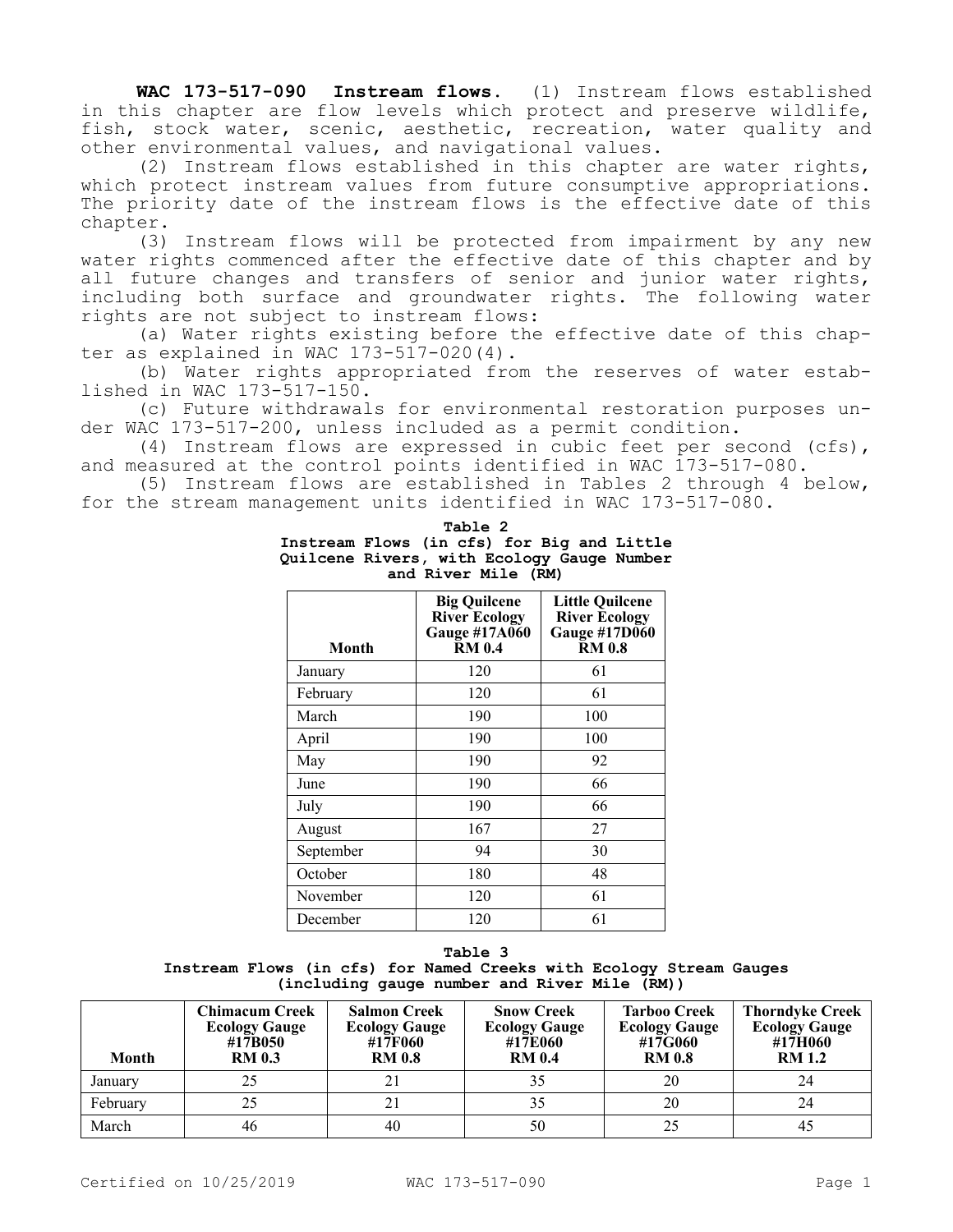**WAC 173-517-090 Instream flows.** (1) Instream flows established in this chapter are flow levels which protect and preserve wildlife, fish, stock water, scenic, aesthetic, recreation, water quality and other environmental values, and navigational values.

(2) Instream flows established in this chapter are water rights, which protect instream values from future consumptive appropriations. The priority date of the instream flows is the effective date of this chapter.

(3) Instream flows will be protected from impairment by any new water rights commenced after the effective date of this chapter and by all future changes and transfers of senior and junior water rights, including both surface and groundwater rights. The following water rights are not subject to instream flows:

(a) Water rights existing before the effective date of this chapter as explained in WAC  $173-517-020(4)$ .

(b) Water rights appropriated from the reserves of water established in WAC 173-517-150.

(c) Future withdrawals for environmental restoration purposes under WAC 173-517-200, unless included as a permit condition.

(4) Instream flows are expressed in cubic feet per second (cfs), and measured at the control points identified in WAC 173-517-080.

(5) Instream flows are established in Tables 2 through 4 below, for the stream management units identified in WAC 173-517-080.

| Month     | <b>Big Quilcene</b><br><b>River Ecology</b><br>Gauge #17A060 | <b>Little Quilcene</b><br><b>River Ecology</b><br>Gauge #17D060<br>RM 0.8 |  |  |  |
|-----------|--------------------------------------------------------------|---------------------------------------------------------------------------|--|--|--|
| January   | 120                                                          | 61                                                                        |  |  |  |
| February  | 120                                                          | 61                                                                        |  |  |  |
| March     | 190                                                          | 100                                                                       |  |  |  |
| April     | 190                                                          | 100                                                                       |  |  |  |
| May       | 190                                                          | 92                                                                        |  |  |  |
| June      | 190                                                          | 66                                                                        |  |  |  |
| July      | 190                                                          | 66                                                                        |  |  |  |
| August    | 167                                                          | 27                                                                        |  |  |  |
| September | 94                                                           | 30                                                                        |  |  |  |
| October   | 180                                                          | 48                                                                        |  |  |  |
| November  | 120                                                          | 61                                                                        |  |  |  |
| December  | 120                                                          | 61                                                                        |  |  |  |

**Table 2 Instream Flows (in cfs) for Big and Little Quilcene Rivers, with Ecology Gauge Number and River Mile (RM)**

**Table 3 Instream Flows (in cfs) for Named Creeks with Ecology Stream Gauges (including gauge number and River Mile (RM))**

| Month    | Chimacum Creek<br><b>Ecology Gauge</b><br>#17B050<br><b>RM 0.3</b> | <b>Salmon Creek</b><br><b>Ecology Gauge</b><br>#17F060<br><b>RM 0.8</b> | <b>Snow Creek</b><br><b>Ecology Gauge</b><br>#17E060<br><b>RM 0.4</b> | <b>Tarboo Creek</b><br><b>Ecology Gauge</b><br>#17G060<br><b>RM 0.8</b> | <b>Thorndyke Creek</b><br><b>Ecology Gauge</b><br>#17H060<br><b>RM</b> 1.2 |
|----------|--------------------------------------------------------------------|-------------------------------------------------------------------------|-----------------------------------------------------------------------|-------------------------------------------------------------------------|----------------------------------------------------------------------------|
| January  |                                                                    | 21                                                                      | 35                                                                    | 20                                                                      | 24                                                                         |
| February |                                                                    | 21                                                                      | 35                                                                    | 20                                                                      | 24                                                                         |
| March    | 46                                                                 | 40                                                                      | 50                                                                    | 25                                                                      | 45                                                                         |